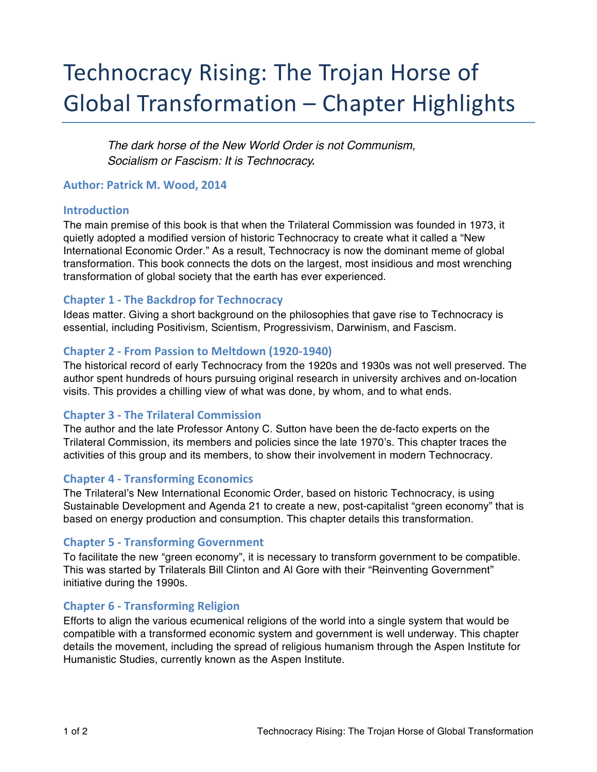# Technocracy Rising: The Trojan Horse of Global Transformation – Chapter Highlights

*The dark horse of the New World Order is not Communism, Socialism or Fascism: It is Technocracy.*

## **Author: Patrick M. Wood, 2014**

### **Introduction**

The main premise of this book is that when the Trilateral Commission was founded in 1973, it quietly adopted a modified version of historic Technocracy to create what it called a "New International Economic Order." As a result, Technocracy is now the dominant meme of global transformation. This book connects the dots on the largest, most insidious and most wrenching transformation of global society that the earth has ever experienced.

# **Chapter 1 - The Backdrop for Technocracy**

Ideas matter. Giving a short background on the philosophies that gave rise to Technocracy is essential, including Positivism, Scientism, Progressivism, Darwinism, and Fascism.

## **Chapter 2 - From Passion to Meltdown (1920-1940)**

The historical record of early Technocracy from the 1920s and 1930s was not well preserved. The author spent hundreds of hours pursuing original research in university archives and on-location visits. This provides a chilling view of what was done, by whom, and to what ends.

# **Chapter 3 - The Trilateral Commission**

The author and the late Professor Antony C. Sutton have been the de-facto experts on the Trilateral Commission, its members and policies since the late 1970's. This chapter traces the activities of this group and its members, to show their involvement in modern Technocracy.

### **Chapter 4 - Transforming Economics**

The Trilateral's New International Economic Order, based on historic Technocracy, is using Sustainable Development and Agenda 21 to create a new, post-capitalist "green economy" that is based on energy production and consumption. This chapter details this transformation.

# **Chapter 5 - Transforming Government**

To facilitate the new "green economy", it is necessary to transform government to be compatible. This was started by Trilaterals Bill Clinton and Al Gore with their "Reinventing Government" initiative during the 1990s.

# **Chapter 6 - Transforming Religion**

Efforts to align the various ecumenical religions of the world into a single system that would be compatible with a transformed economic system and government is well underway. This chapter details the movement, including the spread of religious humanism through the Aspen Institute for Humanistic Studies, currently known as the Aspen Institute.